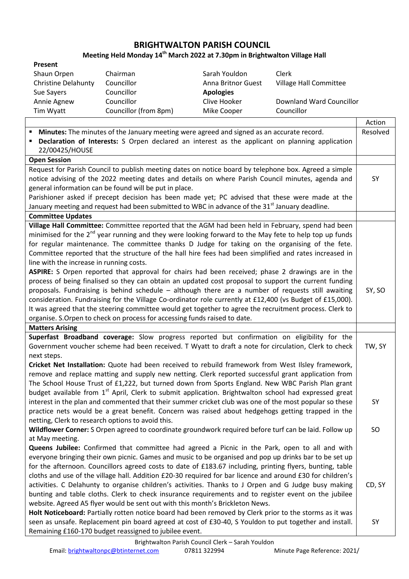## **BRIGHTWALTON PARISH COUNCIL**

## **Meeting Held Monday 14th March 2022 at 7.30pm in Brightwalton Village Hall**

| Present                                                                                                           |                    |                          |          |
|-------------------------------------------------------------------------------------------------------------------|--------------------|--------------------------|----------|
| Shaun Orpen<br>Chairman                                                                                           | Sarah Youldon      | Clerk                    |          |
| <b>Christine Delahunty</b><br>Councillor                                                                          | Anna Britnor Guest | Village Hall Committee   |          |
| Councillor<br>Sue Sayers                                                                                          | <b>Apologies</b>   |                          |          |
| Councillor<br>Annie Agnew                                                                                         | Clive Hooker       | Downland Ward Councillor |          |
| Councillor (from 8pm)<br>Tim Wyatt                                                                                | Mike Cooper        | Councillor               |          |
|                                                                                                                   |                    |                          | Action   |
| Minutes: The minutes of the January meeting were agreed and signed as an accurate record.<br>п                    |                    |                          | Resolved |
| Declaration of Interests: S Orpen declared an interest as the applicant on planning application<br>Е              |                    |                          |          |
| 22/00425/HOUSE                                                                                                    |                    |                          |          |
| <b>Open Session</b>                                                                                               |                    |                          |          |
| Request for Parish Council to publish meeting dates on notice board by telephone box. Agreed a simple             |                    |                          |          |
| notice advising of the 2022 meeting dates and details on where Parish Council minutes, agenda and                 |                    |                          |          |
| general information can be found will be put in place.                                                            |                    |                          |          |
| Parishioner asked if precept decision has been made yet; PC advised that these were made at the                   |                    |                          |          |
| January meeting and request had been submitted to WBC in advance of the 31 <sup>st</sup> January deadline.        |                    |                          |          |
| <b>Committee Updates</b>                                                                                          |                    |                          |          |
| Village Hall Committee: Committee reported that the AGM had been held in February, spend had been                 |                    |                          |          |
| minimised for the $2^{nd}$ year running and they were looking forward to the May fete to help top up funds        |                    |                          |          |
| for regular maintenance. The committee thanks D Judge for taking on the organising of the fete.                   |                    |                          |          |
| Committee reported that the structure of the hall hire fees had been simplified and rates increased in            |                    |                          |          |
| line with the increase in running costs.                                                                          |                    |                          |          |
| ASPIRE: S Orpen reported that approval for chairs had been received; phase 2 drawings are in the                  |                    |                          |          |
| process of being finalised so they can obtain an updated cost proposal to support the current funding             |                    |                          |          |
| proposals. Fundraising is behind schedule - although there are a number of requests still awaiting                |                    |                          | SY, SO   |
| consideration. Fundraising for the Village Co-ordinator role currently at £12,400 (vs Budget of £15,000).         |                    |                          |          |
| It was agreed that the steering committee would get together to agree the recruitment process. Clerk to           |                    |                          |          |
| organise. S.Orpen to check on process for accessing funds raised to date.                                         |                    |                          |          |
| <b>Matters Arising</b>                                                                                            |                    |                          |          |
| Superfast Broadband coverage: Slow progress reported but confirmation on eligibility for the                      |                    |                          |          |
| Government voucher scheme had been received. T Wyatt to draft a note for circulation, Clerk to check              |                    |                          | TW, SY   |
| next steps.                                                                                                       |                    |                          |          |
| Cricket Net Installation: Quote had been received to rebuild framework from West Ilsley framework,                |                    |                          |          |
| remove and replace matting and supply new netting. Clerk reported successful grant application from               |                    |                          |          |
| The School House Trust of £1,222, but turned down from Sports England. New WBC Parish Plan grant                  |                    |                          |          |
| budget available from 1 <sup>st</sup> April, Clerk to submit application. Brightwalton school had expressed great |                    |                          |          |
| interest in the plan and commented that their summer cricket club was one of the most popular so these            |                    |                          | SY       |
| practice nets would be a great benefit. Concern was raised about hedgehogs getting trapped in the                 |                    |                          |          |
| netting, Clerk to research options to avoid this.                                                                 |                    |                          |          |
| Wildflower Corner: S Orpen agreed to coordinate groundwork required before turf can be laid. Follow up            |                    |                          | SO       |
| at May meeting.                                                                                                   |                    |                          |          |
| Queens Jubilee: Confirmed that committee had agreed a Picnic in the Park, open to all and with                    |                    |                          |          |
| everyone bringing their own picnic. Games and music to be organised and pop up drinks bar to be set up            |                    |                          |          |
| for the afternoon. Councillors agreed costs to date of £183.67 including, printing flyers, bunting, table         |                    |                          |          |
| cloths and use of the village hall. Addition £20-30 required for bar licence and around £30 for children's        |                    |                          |          |
| activities. C Delahunty to organise children's activities. Thanks to J Orpen and G Judge busy making              |                    |                          | CD, SY   |
| bunting and table cloths. Clerk to check insurance requirements and to register event on the jubilee              |                    |                          |          |
| website. Agreed A5 flyer would be sent out with this month's Brickleton News.                                     |                    |                          |          |
| Holt Noticeboard: Partially rotten notice board had been removed by Clerk prior to the storms as it was           |                    |                          |          |
| seen as unsafe. Replacement pin board agreed at cost of £30-40, S Youldon to put together and install.            |                    |                          | SY       |
| Remaining £160-170 budget reassigned to jubilee event.                                                            |                    |                          |          |